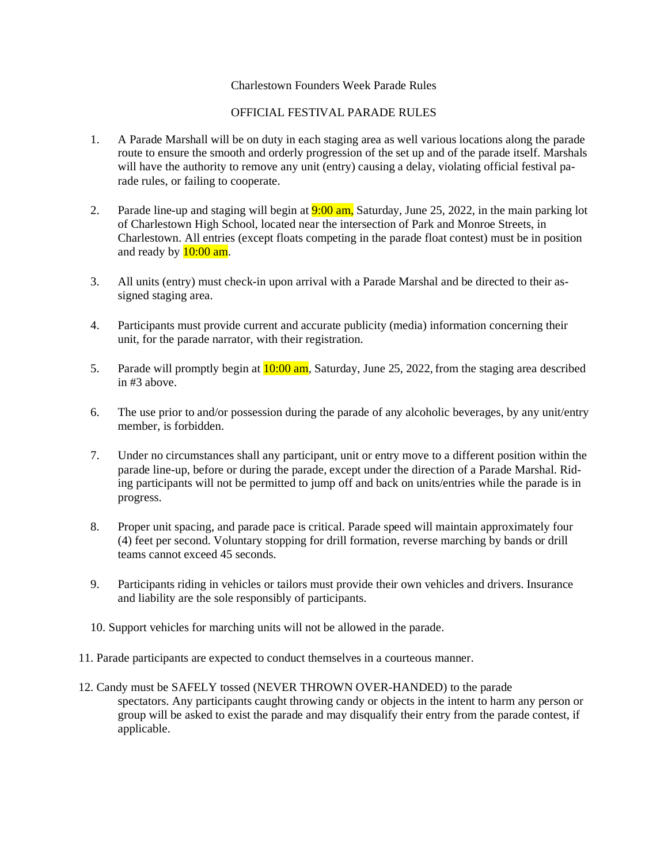## Charlestown Founders Week Parade Rules

## OFFICIAL FESTIVAL PARADE RULES

- 1. A Parade Marshall will be on duty in each staging area as well various locations along the parade route to ensure the smooth and orderly progression of the set up and of the parade itself. Marshals will have the authority to remove any unit (entry) causing a delay, violating official festival parade rules, or failing to cooperate.
- 2. Parade line-up and staging will begin at  $9:00$  am, Saturday, June 25, 2022, in the main parking lot of Charlestown High School, located near the intersection of Park and Monroe Streets, in Charlestown. All entries (except floats competing in the parade float contest) must be in position and ready by  $10:00$  am.
- 3. All units (entry) must check-in upon arrival with a Parade Marshal and be directed to their assigned staging area.
- 4. Participants must provide current and accurate publicity (media) information concerning their unit, for the parade narrator, with their registration.
- 5. Parade will promptly begin at  $10:00$  am, Saturday, June 25, 2022, from the staging area described in #3 above.
- 6. The use prior to and/or possession during the parade of any alcoholic beverages, by any unit/entry member, is forbidden.
- 7. Under no circumstances shall any participant, unit or entry move to a different position within the parade line-up, before or during the parade, except under the direction of a Parade Marshal. Riding participants will not be permitted to jump off and back on units/entries while the parade is in progress.
- 8. Proper unit spacing, and parade pace is critical. Parade speed will maintain approximately four (4) feet per second. Voluntary stopping for drill formation, reverse marching by bands or drill teams cannot exceed 45 seconds.
- 9. Participants riding in vehicles or tailors must provide their own vehicles and drivers. Insurance and liability are the sole responsibly of participants.
- 10. Support vehicles for marching units will not be allowed in the parade.
- 11. Parade participants are expected to conduct themselves in a courteous manner.
- 12. Candy must be SAFELY tossed (NEVER THROWN OVER-HANDED) to the parade spectators. Any participants caught throwing candy or objects in the intent to harm any person or group will be asked to exist the parade and may disqualify their entry from the parade contest, if applicable.